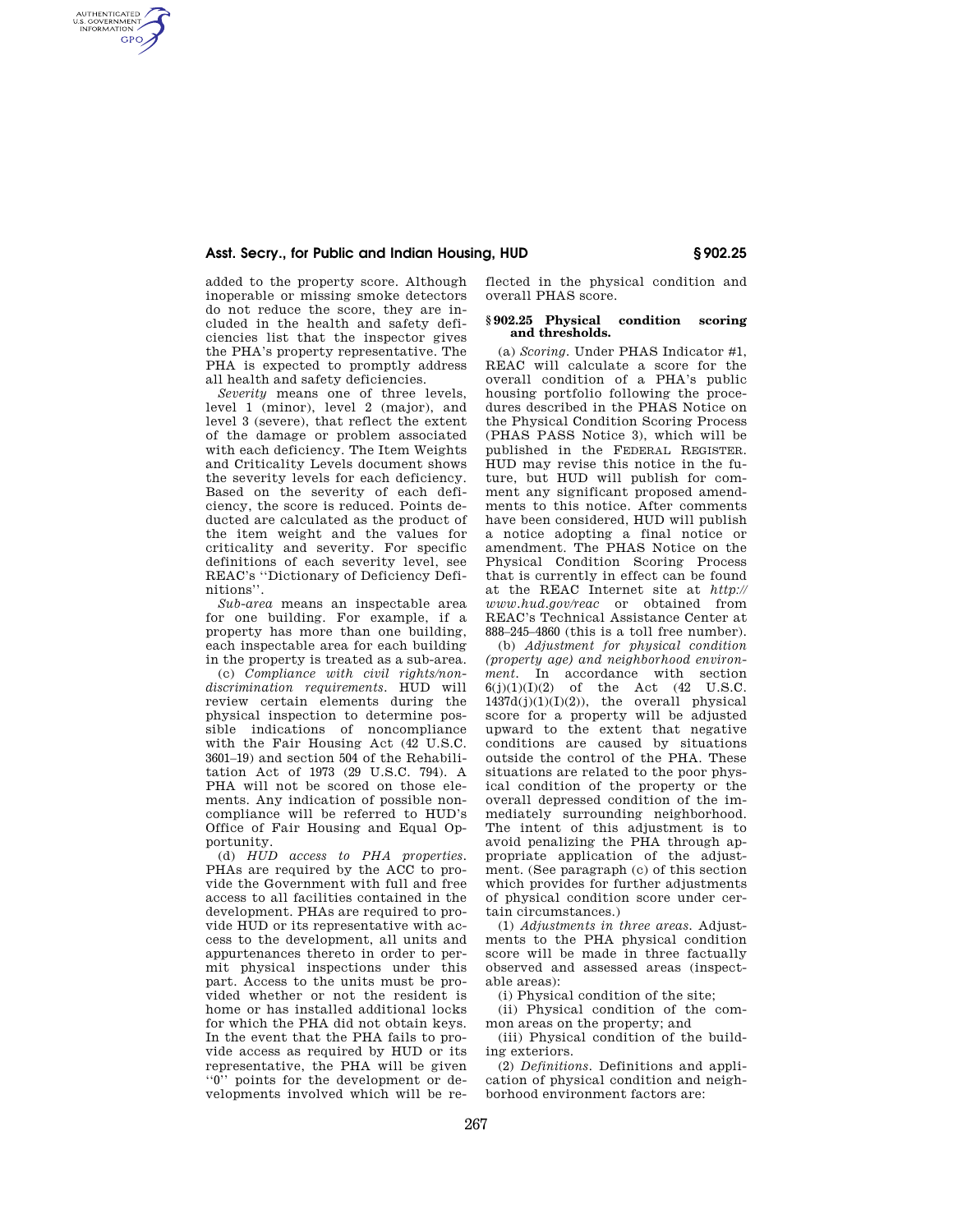## **Asst. Secry., for Public and Indian Housing, HUD § 902.25**

added to the property score. Although inoperable or missing smoke detectors do not reduce the score, they are included in the health and safety deficiencies list that the inspector gives the PHA's property representative. The PHA is expected to promptly address all health and safety deficiencies.

AUTHENTICATED<br>U.S. GOVERNMENT<br>INFORMATION **GPO** 

> *Severity* means one of three levels, level 1 (minor), level 2 (major), and level 3 (severe), that reflect the extent of the damage or problem associated with each deficiency. The Item Weights and Criticality Levels document shows the severity levels for each deficiency. Based on the severity of each deficiency, the score is reduced. Points deducted are calculated as the product of the item weight and the values for criticality and severity. For specific definitions of each severity level, see REAC's ''Dictionary of Deficiency Definitions''.

> *Sub-area* means an inspectable area for one building. For example, if a property has more than one building, each inspectable area for each building in the property is treated as a sub-area.

(c) *Compliance with civil rights/nondiscrimination requirements.* HUD will review certain elements during the physical inspection to determine possible indications of noncompliance with the Fair Housing Act (42<sup>U.S.C.</sup> 3601–19) and section 504 of the Rehabilitation Act of 1973 (29 U.S.C. 794). A PHA will not be scored on those elements. Any indication of possible noncompliance will be referred to HUD's Office of Fair Housing and Equal Opportunity.

(d) *HUD access to PHA properties.*  PHAs are required by the ACC to provide the Government with full and free access to all facilities contained in the development. PHAs are required to provide HUD or its representative with access to the development, all units and appurtenances thereto in order to permit physical inspections under this part. Access to the units must be provided whether or not the resident is home or has installed additional locks for which the PHA did not obtain keys. In the event that the PHA fails to provide access as required by HUD or its representative, the PHA will be given ''0'' points for the development or developments involved which will be reflected in the physical condition and overall PHAS score.

#### **§ 902.25 Physical condition scoring and thresholds.**

(a) *Scoring.* Under PHAS Indicator #1, REAC will calculate a score for the overall condition of a PHA's public housing portfolio following the procedures described in the PHAS Notice on the Physical Condition Scoring Process (PHAS PASS Notice 3), which will be published in the FEDERAL REGISTER. HUD may revise this notice in the future, but HUD will publish for comment any significant proposed amendments to this notice. After comments have been considered, HUD will publish a notice adopting a final notice or amendment. The PHAS Notice on the Physical Condition Scoring Process that is currently in effect can be found at the REAC Internet site at *http:// www.hud.gov/reac* or obtained from REAC's Technical Assistance Center at 888–245–4860 (this is a toll free number).

(b) *Adjustment for physical condition (property age) and neighborhood environment.* In accordance with section  $6(j)(1)(1)(2)$  of the Act  $(42 \text{ U.S.C.})$  $1437d(j)(1)(1)(2)$ , the overall physical score for a property will be adjusted upward to the extent that negative conditions are caused by situations outside the control of the PHA. These situations are related to the poor physical condition of the property or the overall depressed condition of the immediately surrounding neighborhood. The intent of this adjustment is to avoid penalizing the PHA through appropriate application of the adjustment. (See paragraph (c) of this section which provides for further adjustments of physical condition score under certain circumstances.)

(1) *Adjustments in three areas.* Adjustments to the PHA physical condition score will be made in three factually observed and assessed areas (inspectable areas):

(i) Physical condition of the site;

(ii) Physical condition of the common areas on the property; and

(iii) Physical condition of the building exteriors.

(2) *Definitions.* Definitions and application of physical condition and neighborhood environment factors are: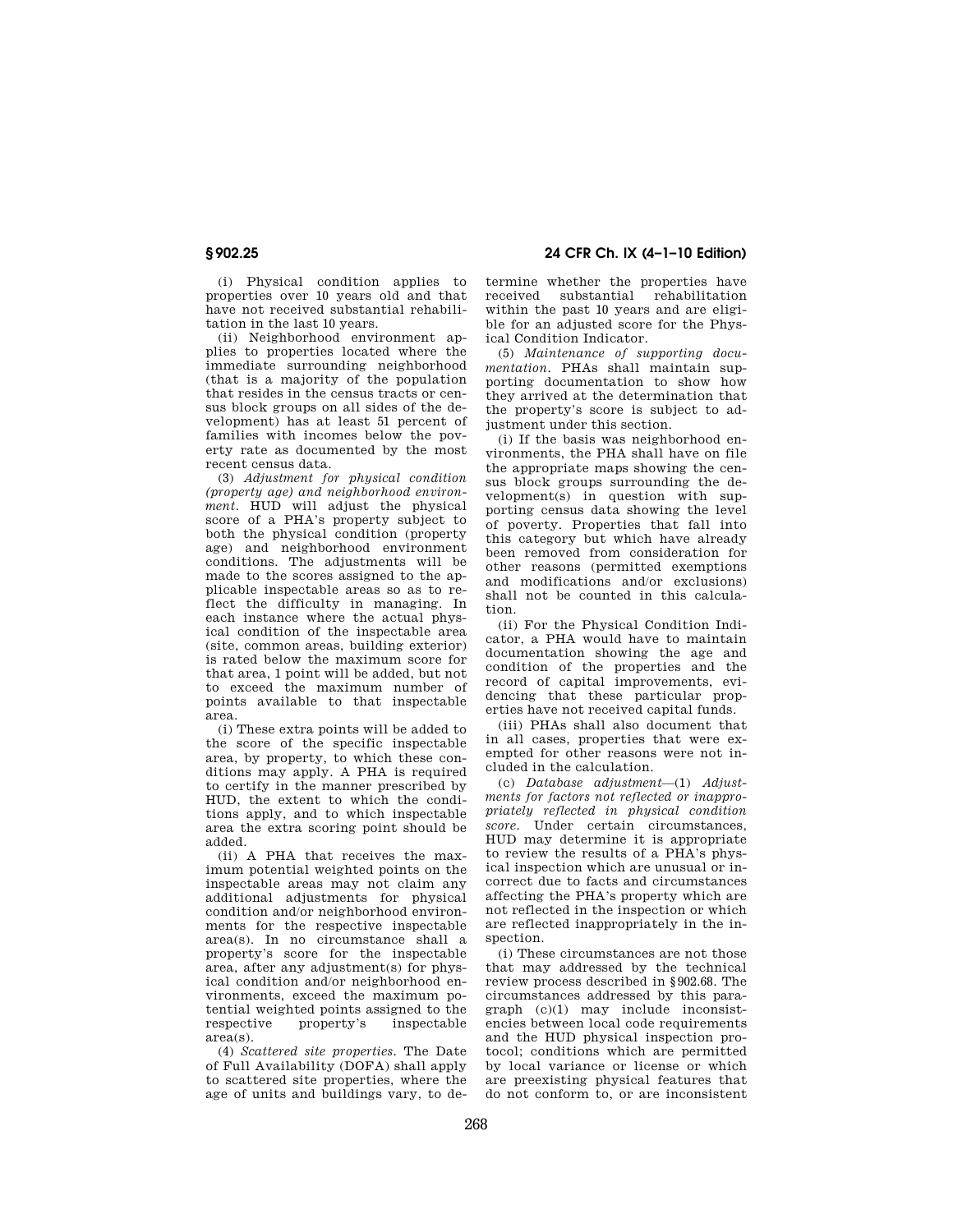**§ 902.25 24 CFR Ch. IX (4–1–10 Edition)** 

(i) Physical condition applies to properties over 10 years old and that have not received substantial rehabilitation in the last 10 years.

(ii) Neighborhood environment applies to properties located where the immediate surrounding neighborhood (that is a majority of the population that resides in the census tracts or census block groups on all sides of the development) has at least 51 percent of families with incomes below the poverty rate as documented by the most recent census data.

(3) *Adjustment for physical condition (property age) and neighborhood environment.* HUD will adjust the physical score of a PHA's property subject to both the physical condition (property age) and neighborhood environment conditions. The adjustments will be made to the scores assigned to the applicable inspectable areas so as to reflect the difficulty in managing. In each instance where the actual physical condition of the inspectable area (site, common areas, building exterior) is rated below the maximum score for that area, 1 point will be added, but not to exceed the maximum number of points available to that inspectable area.

(i) These extra points will be added to the score of the specific inspectable area, by property, to which these conditions may apply. A PHA is required to certify in the manner prescribed by HUD, the extent to which the conditions apply, and to which inspectable area the extra scoring point should be added.

(ii) A PHA that receives the maximum potential weighted points on the inspectable areas may not claim any additional adjustments for physical condition and/or neighborhood environments for the respective inspectable area(s). In no circumstance shall a property's score for the inspectable area, after any adjustment(s) for physical condition and/or neighborhood environments, exceed the maximum potential weighted points assigned to the respective property's inspectable property's area(s).

(4) *Scattered site properties.* The Date of Full Availability (DOFA) shall apply to scattered site properties, where the age of units and buildings vary, to determine whether the properties have received substantial rehabilitation within the past 10 years and are eligible for an adjusted score for the Physical Condition Indicator.

(5) *Maintenance of supporting documentation.* PHAs shall maintain supporting documentation to show how they arrived at the determination that the property's score is subject to adjustment under this section.

(i) If the basis was neighborhood environments, the PHA shall have on file the appropriate maps showing the census block groups surrounding the development(s) in question with supporting census data showing the level of poverty. Properties that fall into this category but which have already been removed from consideration for other reasons (permitted exemptions and modifications and/or exclusions) shall not be counted in this calculation.

(ii) For the Physical Condition Indicator, a PHA would have to maintain documentation showing the age and condition of the properties and the record of capital improvements, evidencing that these particular properties have not received capital funds.

(iii) PHAs shall also document that in all cases, properties that were exempted for other reasons were not included in the calculation.

(c) *Database adjustment*—(1) *Adjustments for factors not reflected or inappropriately reflected in physical condition score.* Under certain circumstances, HUD may determine it is appropriate to review the results of a PHA's physical inspection which are unusual or incorrect due to facts and circumstances affecting the PHA's property which are not reflected in the inspection or which are reflected inappropriately in the inspection.

(i) These circumstances are not those that may addressed by the technical review process described in §902.68. The circumstances addressed by this paragraph (c)(1) may include inconsistencies between local code requirements and the HUD physical inspection protocol; conditions which are permitted by local variance or license or which are preexisting physical features that do not conform to, or are inconsistent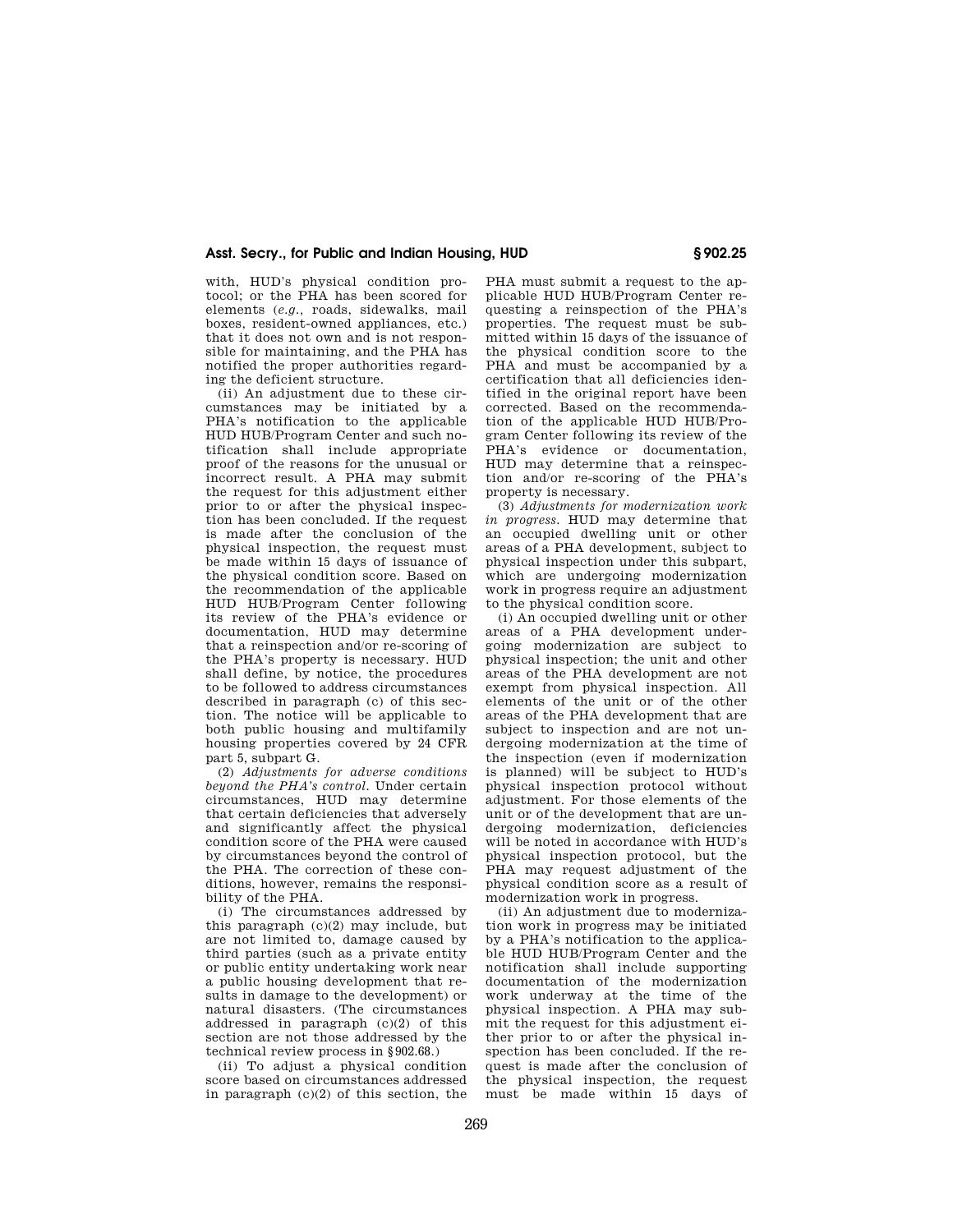## **Asst. Secry., for Public and Indian Housing, HUD § 902.25**

with, HUD's physical condition protocol; or the PHA has been scored for elements (*e.g.,* roads, sidewalks, mail boxes, resident-owned appliances, etc.) that it does not own and is not responsible for maintaining, and the PHA has notified the proper authorities regarding the deficient structure.

(ii) An adjustment due to these circumstances may be initiated by a PHA's notification to the applicable HUD HUB/Program Center and such notification shall include appropriate proof of the reasons for the unusual or .<br>incorrect result. A PHA may submit the request for this adjustment either prior to or after the physical inspection has been concluded. If the request is made after the conclusion of the physical inspection, the request must be made within 15 days of issuance of the physical condition score. Based on the recommendation of the applicable HUD HUB/Program Center following its review of the PHA's evidence or documentation, HUD may determine that a reinspection and/or re-scoring of the PHA's property is necessary. HUD shall define, by notice, the procedures to be followed to address circumstances described in paragraph (c) of this section. The notice will be applicable to both public housing and multifamily housing properties covered by 24 CFR part 5, subpart G.

(2) *Adjustments for adverse conditions beyond the PHA's control.* Under certain circumstances, HUD may determine that certain deficiencies that adversely and significantly affect the physical condition score of the PHA were caused by circumstances beyond the control of the PHA. The correction of these conditions, however, remains the responsibility of the PHA.

(i) The circumstances addressed by this paragraph  $(c)(2)$  may include, but are not limited to, damage caused by third parties (such as a private entity or public entity undertaking work near a public housing development that results in damage to the development) or natural disasters. (The circumstances addressed in paragraph (c)(2) of this section are not those addressed by the technical review process in §902.68.)

(ii) To adjust a physical condition score based on circumstances addressed in paragraph (c)(2) of this section, the PHA must submit a request to the applicable HUD HUB/Program Center requesting a reinspection of the PHA's properties. The request must be submitted within 15 days of the issuance of the physical condition score to the PHA and must be accompanied by a certification that all deficiencies identified in the original report have been corrected. Based on the recommendation of the applicable HUD HUB/Program Center following its review of the PHA's evidence or documentation, HUD may determine that a reinspection and/or re-scoring of the PHA's property is necessary.

(3) *Adjustments for modernization work in progress.* HUD may determine that an occupied dwelling unit or other areas of a PHA development, subject to physical inspection under this subpart, which are undergoing modernization work in progress require an adjustment to the physical condition score.

(i) An occupied dwelling unit or other areas of a PHA development undergoing modernization are subject to physical inspection; the unit and other areas of the PHA development are not exempt from physical inspection. All elements of the unit or of the other areas of the PHA development that are subject to inspection and are not undergoing modernization at the time of the inspection (even if modernization is planned) will be subject to HUD's physical inspection protocol without adjustment. For those elements of the unit or of the development that are undergoing modernization, deficiencies will be noted in accordance with HUD's physical inspection protocol, but the PHA may request adjustment of the physical condition score as a result of modernization work in progress.

(ii) An adjustment due to modernization work in progress may be initiated by a PHA's notification to the applicable HUD HUB/Program Center and the notification shall include supporting documentation of the modernization work underway at the time of the physical inspection. A PHA may submit the request for this adjustment either prior to or after the physical inspection has been concluded. If the request is made after the conclusion of the physical inspection, the request must be made within 15 days of